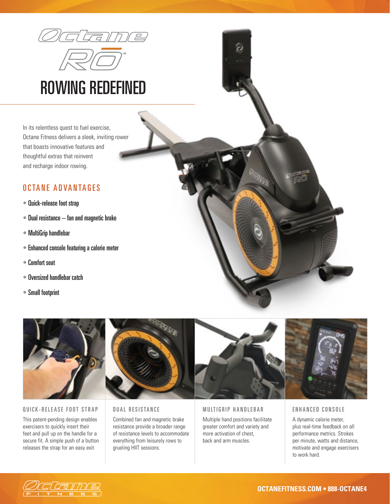

# ROWING REDEFINED

In its relentless quest to fuel exercise, Octane Fitness delivers a sleek, inviting rower that boasts innovative features and thoughtful extras that reinvent and recharge indoor rowing.

# OCTANE ADVANTAGES

- Quick-release foot strap
- Dual resistance fan and magnetic brake
- MultiGrip handlebar
- Enhanced console featuring a calorie meter
- Comfort seat
- Oversized handlebar catch
- Small footprint





#### QUICK-RELEASE FOOT STRAP

This patent-pending design enables exercisers to quickly insert their feet and pull up on the handle for a secure fit. A simple push of a button releases the strap for an easy exit



#### DUAL RESISTANCE

Combined fan and magnetic brake resistance provide a broader range of resistance levels to accommodate everything from leisurely rows to grueling HIIT sessions.



MULTIGRIP HANDLEBAR Multiple hand positions facilitate greater comfort and variety and more activation of chest, back and arm muscles.



#### ENHANCED CONSOLE

A dynamic calorie meter, plus real-time feedback on all performance metrics. Strokes per minute, watts and distance, motivate and engage exercisers to work hard.

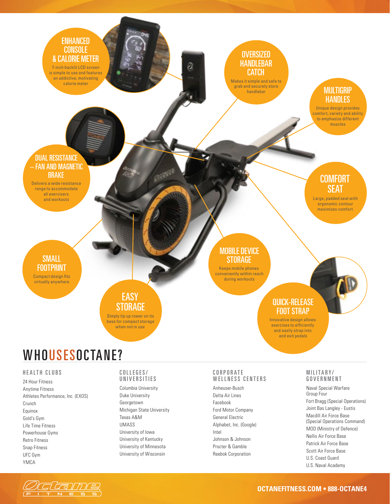### ENHANCED **CONSOLE** & CALORIE METER

7-inch backlit LCD screen is simple to use and features an addictive, motivating calorie meter

# **OVERSIZED** HANDLEBAR CATCH

ã

Makes it simple and safe to grab and securely store handlebar

# **MULTIGRIP HANDLES**

Unique design provides comfort, variety and ability to emphasize different muscles

**COMFORT** SEAT Large, padded seat with ergonomic contour maximizes comfort

#### DUAL RESISTANCE – FAN AND MAGNETIC **BRAKE**

Delivers a wide resistance range to accommodate all exercisers and workouts

SMALL FOOTPRINT Compact design fits

virtually anywhere

## **EASY STORAGE**

Simply tip up rower on its base for compact storage when not in use

#### MOBILE DEVICE **STORAGE**

Keeps mobile phones conveniently within reach during workouts

#### QUICK-RELEASE FOOT STRAP

Innovative design allows exercises to efficiently and easily strap into and exit pedals

# WHOUSESOCTANE?

#### HEALTH CLUBS

24 Hour Fitness Anytime Fitness Athletes Performance, Inc. (EXOS) Crunch Equinox Gold's Gym Life Time Fitness Powerhouse Gyms Retro Fitness Snap Fitness UFC Gym YMCA

#### COLLEGES/ UNIVERSITIES

Columbia University Duke University Georgetown Michigan State University Texas A&M UMASS University of Iowa University of Kentucky University of Minnesota University of Wisconsin

#### C O R P O R A T E WELLNESS CENTERS

Anheuser-Busch Delta Air Lines Facebook Ford Motor Company General Electric Alphabet, Inc. (Google) Intel Johnson & Johnson Procter & Gamble Reebok Corporation

#### MILITARY/ GOVERNMENT

Naval Special Warfare Group Four Fort Bragg (Special Operations) Joint Bas Langley - Eustis Macdill Air Force Base (Special Operations Command) MOD (Ministry of Defence) Nellis Air Force Base Patrick Air Force Base Scott Air Force Base U.S. Coast Guard U.S. Naval Academy